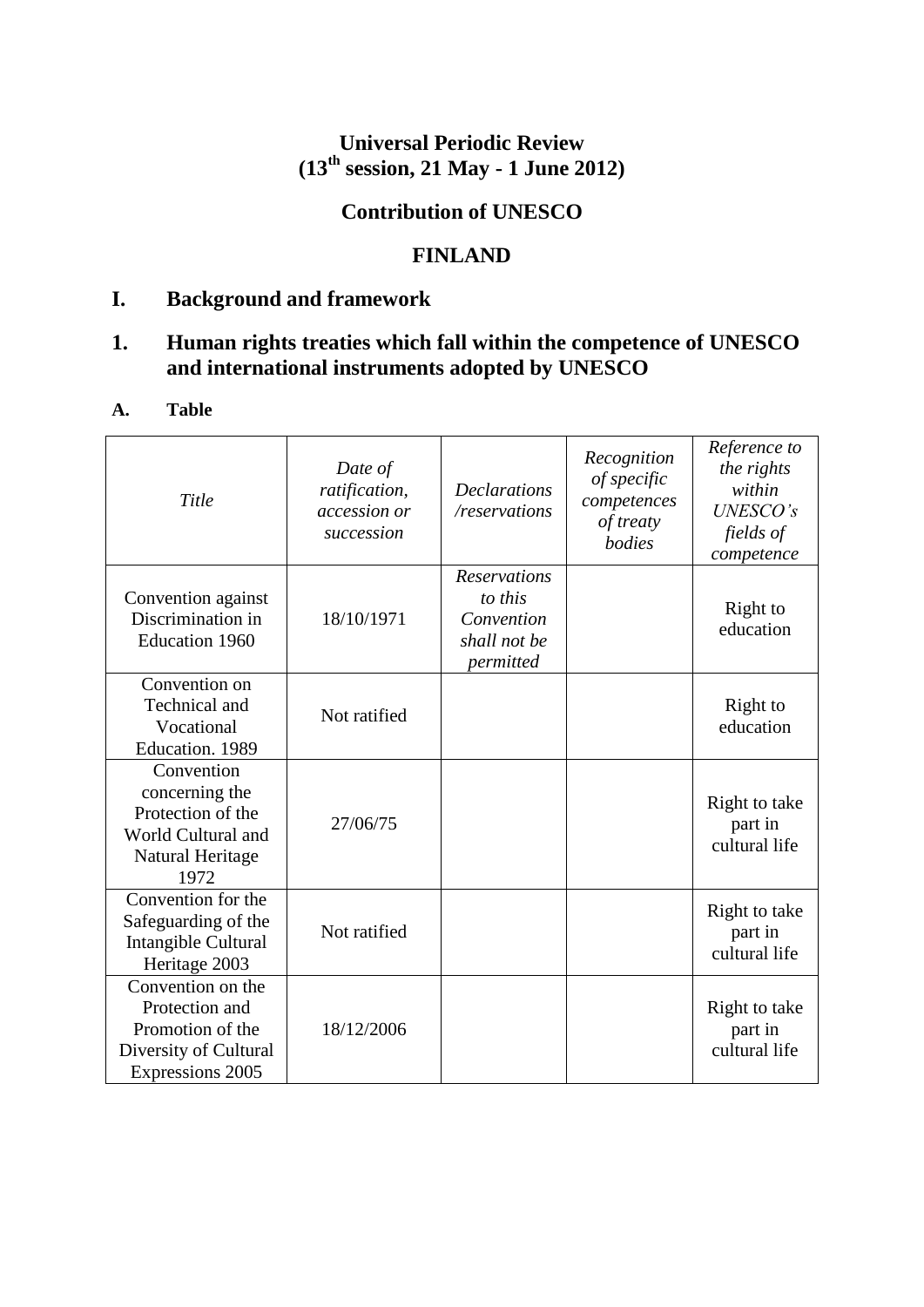# **Universal Periodic Review (13th session, 21 May - 1 June 2012)**

# **Contribution of UNESCO**

# **FINLAND**

# **I. Background and framework**

# **1. Human rights treaties which fall within the competence of UNESCO and international instruments adopted by UNESCO**

## **A. Table**

| Title                                                                                                 | Date of<br>ratification,<br>accession or<br>succession | <b>Declarations</b><br>/reservations                                      | Recognition<br>of specific<br>competences<br>of treaty<br>bodies | Reference to<br>the rights<br>within<br><b>UNESCO's</b><br>fields of<br>competence |
|-------------------------------------------------------------------------------------------------------|--------------------------------------------------------|---------------------------------------------------------------------------|------------------------------------------------------------------|------------------------------------------------------------------------------------|
| Convention against<br>Discrimination in<br><b>Education 1960</b>                                      | 18/10/1971                                             | <b>Reservations</b><br>to this<br>Convention<br>shall not be<br>permitted |                                                                  | Right to<br>education                                                              |
| Convention on<br>Technical and<br>Vocational<br>Education. 1989                                       | Not ratified                                           |                                                                           |                                                                  | Right to<br>education                                                              |
| Convention<br>concerning the<br>Protection of the<br>World Cultural and<br>Natural Heritage<br>1972   | 27/06/75                                               |                                                                           |                                                                  | Right to take<br>part in<br>cultural life                                          |
| $\overline{\text{Convention}}$ for the<br>Safeguarding of the<br>Intangible Cultural<br>Heritage 2003 | Not ratified                                           |                                                                           |                                                                  | Right to take<br>part in<br>cultural life                                          |
| Convention on the<br>Protection and<br>Promotion of the<br>Diversity of Cultural<br>Expressions 2005  | 18/12/2006                                             |                                                                           |                                                                  | Right to take<br>part in<br>cultural life                                          |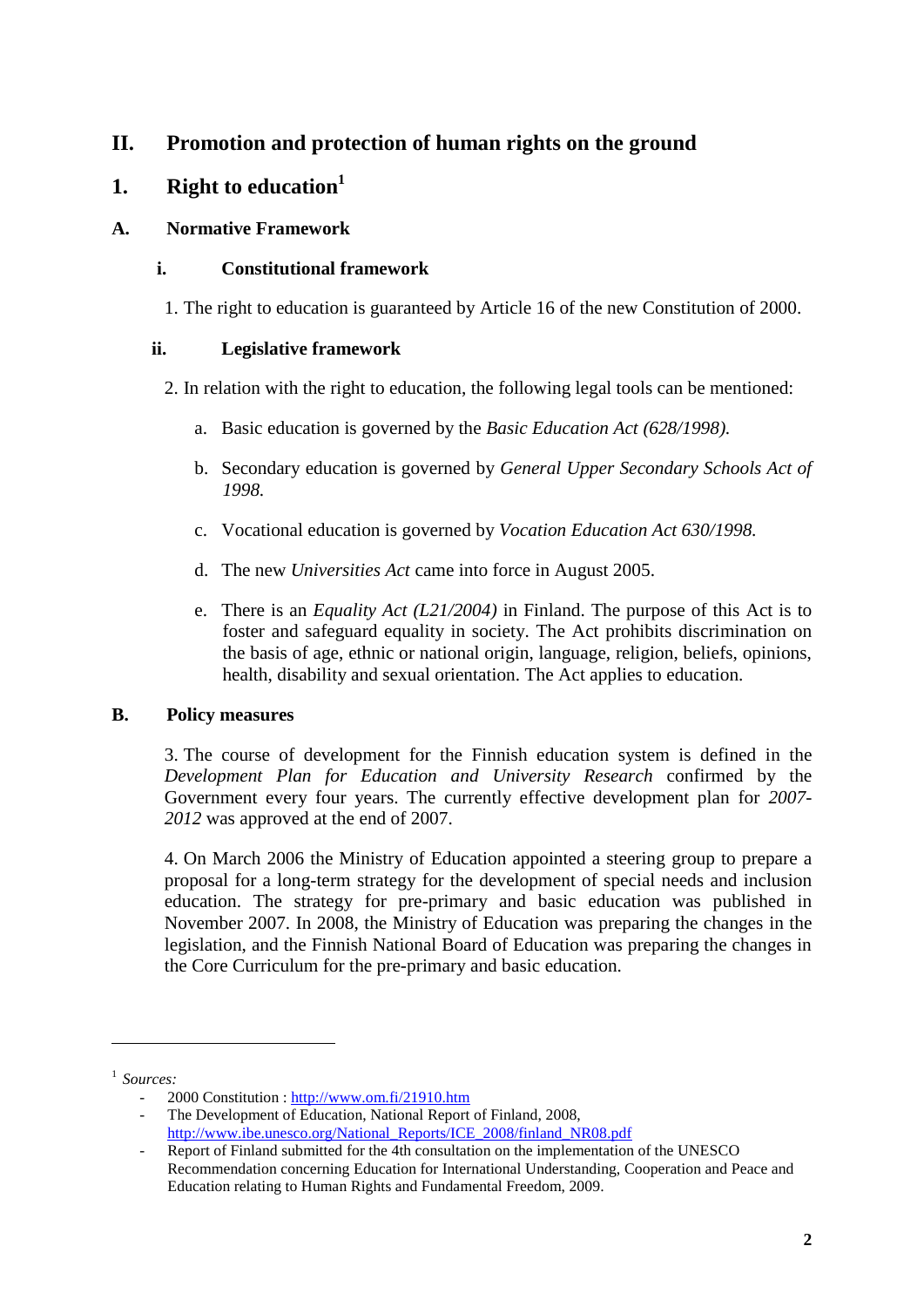# **II. Promotion and protection of human rights on the ground**

## **1. Right to education<sup>1</sup>**

#### **A. Normative Framework**

### **i. Constitutional framework**

1. The right to education is guaranteed by Article 16 of the new Constitution of 2000.

### **ii. Legislative framework**

- 2. In relation with the right to education, the following legal tools can be mentioned:
	- a. Basic education is governed by the *Basic Education Act (628/1998).*
	- b. Secondary education is governed by *General Upper Secondary Schools Act of 1998.*
	- c. Vocational education is governed by *Vocation Education Act 630/1998.*
	- d. The new *Universities Act* came into force in August 2005.
	- e. There is an *Equality Act (L21/2004)* in Finland. The purpose of this Act is to foster and safeguard equality in society. The Act prohibits discrimination on the basis of age, ethnic or national origin, language, religion, beliefs, opinions, health, disability and sexual orientation. The Act applies to education.

## **B. Policy measures**

3. The course of development for the Finnish education system is defined in the *Development Plan for Education and University Research* confirmed by the Government every four years. The currently effective development plan for *2007- 2012* was approved at the end of 2007.

4. On March 2006 the Ministry of Education appointed a steering group to prepare a proposal for a long-term strategy for the development of special needs and inclusion education. The strategy for pre-primary and basic education was published in November 2007. In 2008, the Ministry of Education was preparing the changes in the legislation, and the Finnish National Board of Education was preparing the changes in the Core Curriculum for the pre-primary and basic education.

**.** 

The Development of Education, National Report of Finland, 2008, [http://www.ibe.unesco.org/National\\_Reports/ICE\\_2008/finland\\_NR08.pdf](http://www.ibe.unesco.org/National_Reports/ICE_2008/finland_NR08.pdf)

<sup>1</sup> *Sources:* 

<sup>-</sup> 2000 Constitution [: http://www.om.fi/21910.htm](http://www.om.fi/21910.htm)

Report of Finland submitted for the 4th consultation on the implementation of the UNESCO Recommendation concerning Education for International Understanding, Cooperation and Peace and Education relating to Human Rights and Fundamental Freedom, 2009.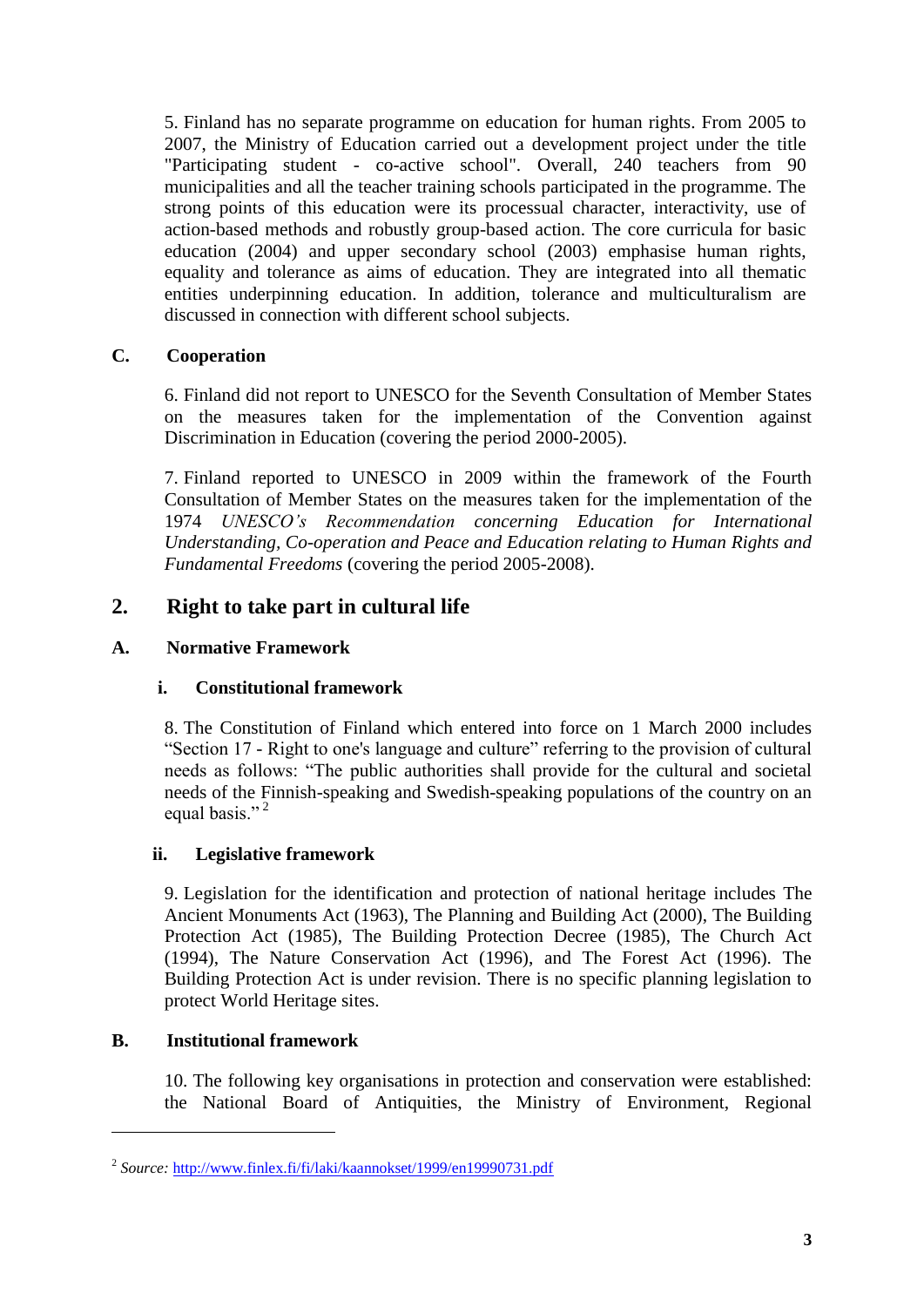5. Finland has no separate programme on education for human rights. From 2005 to 2007, the Ministry of Education carried out a development project under the title "Participating student - co-active school". Overall, 240 teachers from 90 municipalities and all the teacher training schools participated in the programme. The strong points of this education were its processual character, interactivity, use of action-based methods and robustly group-based action. The core curricula for basic education (2004) and upper secondary school (2003) emphasise human rights, equality and tolerance as aims of education. They are integrated into all thematic entities underpinning education. In addition, tolerance and multiculturalism are discussed in connection with different school subjects.

### **C. Cooperation**

6. Finland did not report to UNESCO for the Seventh Consultation of Member States on the measures taken for the implementation of the Convention against Discrimination in Education (covering the period 2000-2005).

7. Finland reported to UNESCO in 2009 within the framework of the Fourth Consultation of Member States on the measures taken for the implementation of the 1974 *UNESCO's Recommendation concerning Education for International Understanding, Co-operation and Peace and Education relating to Human Rights and Fundamental Freedoms* (covering the period 2005-2008).

## **2. Right to take part in cultural life**

#### **A. Normative Framework**

#### **i. Constitutional framework**

8. The Constitution of Finland which entered into force on 1 March 2000 includes "Section 17 - Right to one's language and culture" referring to the provision of cultural needs as follows: "The public authorities shall provide for the cultural and societal needs of the Finnish-speaking and Swedish-speaking populations of the country on an equal basis."<sup>2</sup>

#### **ii. Legislative framework**

9. Legislation for the identification and protection of national heritage includes The Ancient Monuments Act (1963), The Planning and Building Act (2000), The Building Protection Act (1985), The Building Protection Decree (1985), The Church Act (1994), The Nature Conservation Act (1996), and The Forest Act (1996). The Building Protection Act is under revision. There is no specific planning legislation to protect World Heritage sites.

#### **B. Institutional framework**

**.** 

10. The following key organisations in protection and conservation were established: the National Board of Antiquities, the Ministry of Environment, Regional

<sup>&</sup>lt;sup>2</sup> Source: <http://www.finlex.fi/fi/laki/kaannokset/1999/en19990731.pdf>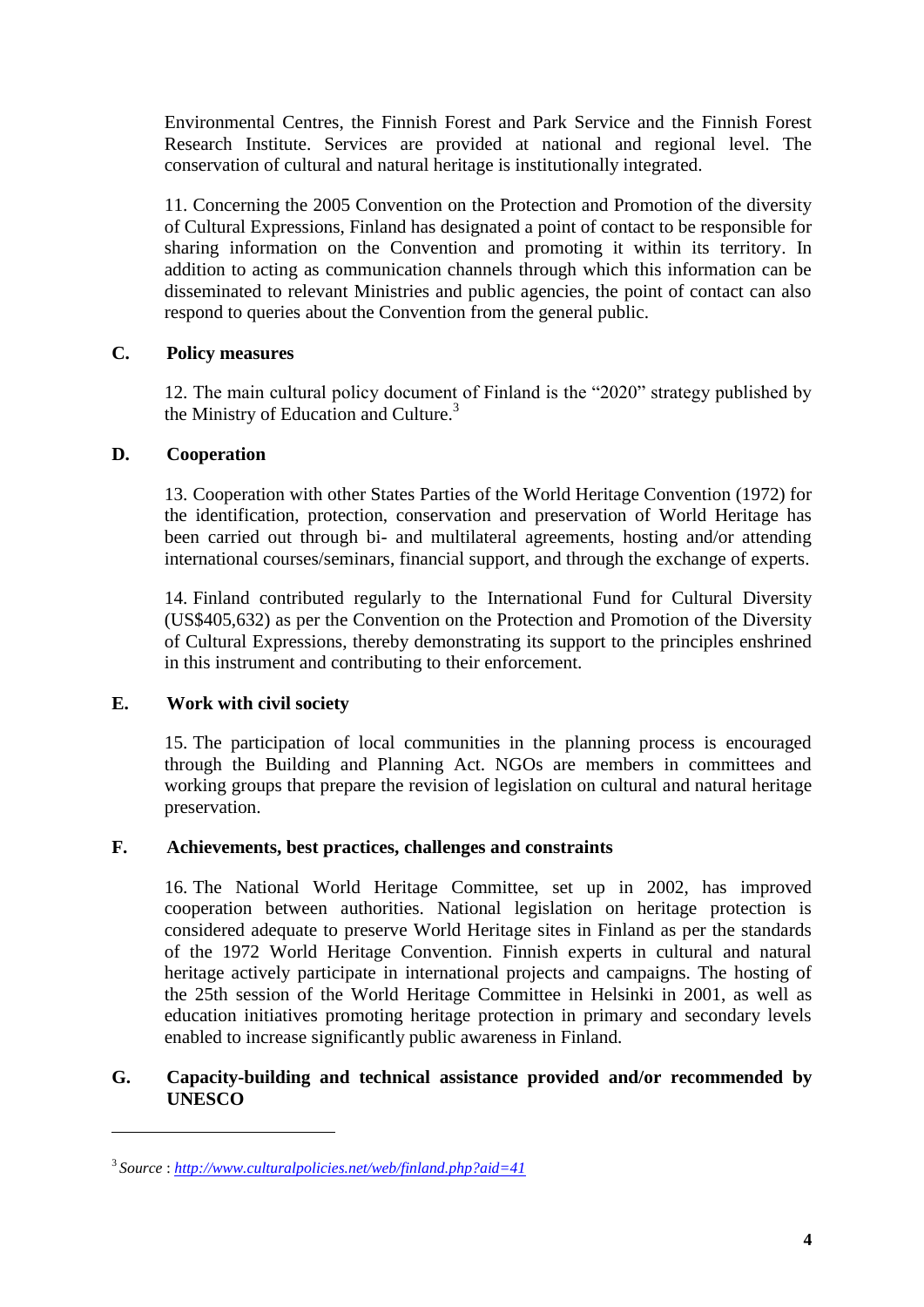Environmental Centres, the Finnish Forest and Park Service and the Finnish Forest Research Institute. Services are provided at national and regional level. The conservation of cultural and natural heritage is institutionally integrated.

11. Concerning the 2005 Convention on the Protection and Promotion of the diversity of Cultural Expressions, Finland has designated a point of contact to be responsible for sharing information on the Convention and promoting it within its territory. In addition to acting as communication channels through which this information can be disseminated to relevant Ministries and public agencies, the point of contact can also respond to queries about the Convention from the general public.

### **C. Policy measures**

12. The main cultural policy document of Finland is the "2020" strategy published by the Ministry of Education and Culture.<sup>3</sup>

### **D. Cooperation**

13. Cooperation with other States Parties of the World Heritage Convention (1972) for the identification, protection, conservation and preservation of World Heritage has been carried out through bi- and multilateral agreements, hosting and/or attending international courses/seminars, financial support, and through the exchange of experts.

14. Finland contributed regularly to the International Fund for Cultural Diversity (US\$405,632) as per the Convention on the Protection and Promotion of the Diversity of Cultural Expressions, thereby demonstrating its support to the principles enshrined in this instrument and contributing to their enforcement.

## **E. Work with civil society**

**.** 

15. The participation of local communities in the planning process is encouraged through the Building and Planning Act. NGOs are members in committees and working groups that prepare the revision of legislation on cultural and natural heritage preservation.

#### **F. Achievements, best practices, challenges and constraints**

16. The National World Heritage Committee, set up in 2002, has improved cooperation between authorities. National legislation on heritage protection is considered adequate to preserve World Heritage sites in Finland as per the standards of the 1972 World Heritage Convention. Finnish experts in cultural and natural heritage actively participate in international projects and campaigns. The hosting of the 25th session of the World Heritage Committee in Helsinki in 2001, as well as education initiatives promoting heritage protection in primary and secondary levels enabled to increase significantly public awareness in Finland.

### **G. Capacity-building and technical assistance provided and/or recommended by UNESCO**

<sup>3</sup> *Source* : *<http://www.culturalpolicies.net/web/finland.php?aid=41>*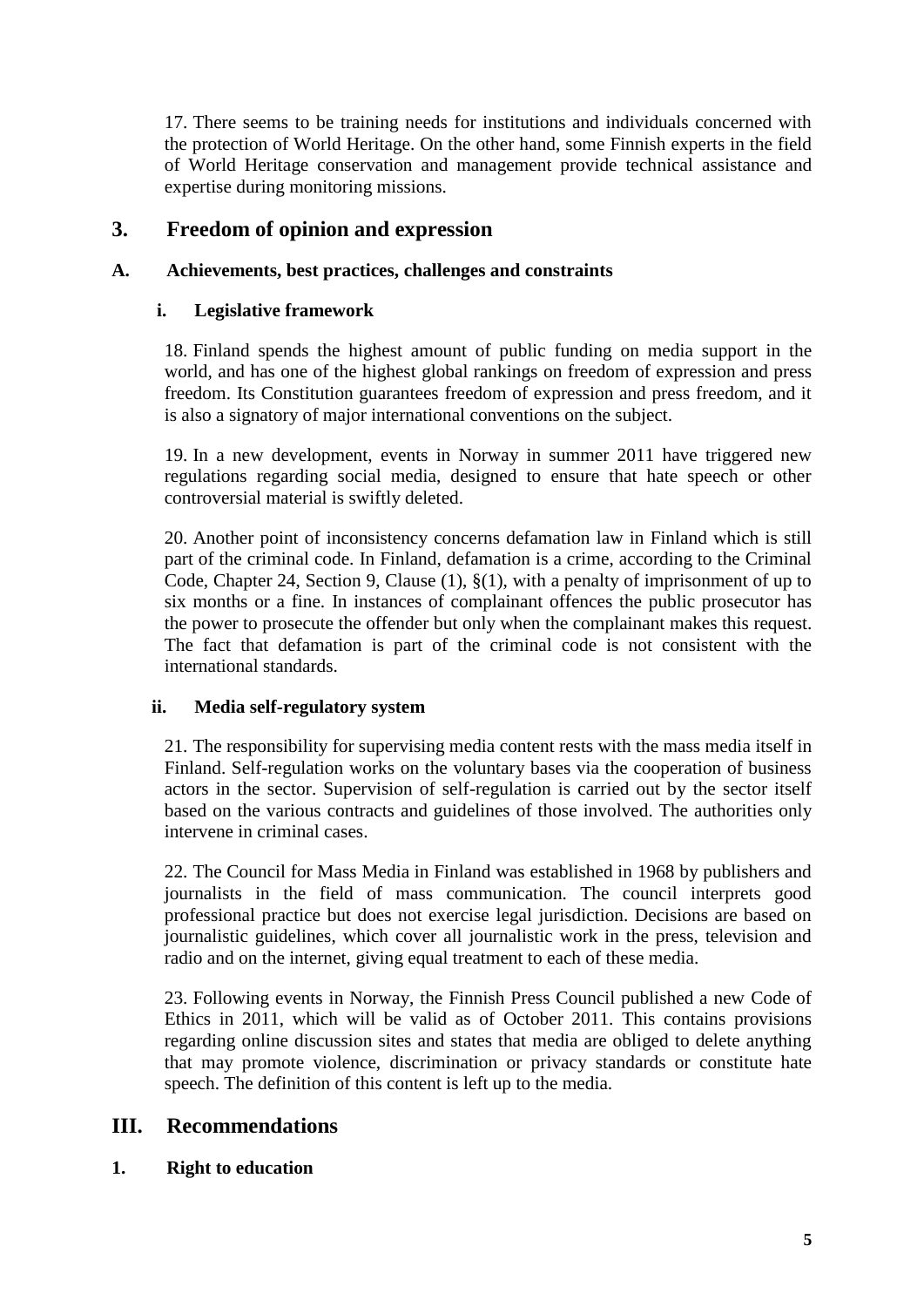17. There seems to be training needs for institutions and individuals concerned with the protection of World Heritage. On the other hand, some Finnish experts in the field of World Heritage conservation and management provide technical assistance and expertise during monitoring missions.

## **3. Freedom of opinion and expression**

#### **A. Achievements, best practices, challenges and constraints**

#### **i. Legislative framework**

18. Finland spends the highest amount of public funding on media support in the world, and has one of the highest global rankings on freedom of expression and press freedom. Its Constitution guarantees freedom of expression and press freedom, and it is also a signatory of major international conventions on the subject.

19. In a new development, events in Norway in summer 2011 have triggered new regulations regarding social media, designed to ensure that hate speech or other controversial material is swiftly deleted.

20. Another point of inconsistency concerns defamation law in Finland which is still part of the criminal code. In Finland, defamation is a crime, according to the Criminal Code, Chapter 24, Section 9, Clause (1), §(1), with a penalty of imprisonment of up to six months or a fine. In instances of complainant offences the public prosecutor has the power to prosecute the offender but only when the complainant makes this request. The fact that defamation is part of the criminal code is not consistent with the international standards.

#### **ii. Media self-regulatory system**

21. The responsibility for supervising media content rests with the mass media itself in Finland. Self-regulation works on the voluntary bases via the cooperation of business actors in the sector. Supervision of self-regulation is carried out by the sector itself based on the various contracts and guidelines of those involved. The authorities only intervene in criminal cases.

22. The Council for Mass Media in Finland was established in 1968 by publishers and journalists in the field of mass communication. The council interprets good professional practice but does not exercise legal jurisdiction. Decisions are based on journalistic guidelines, which cover all journalistic work in the press, television and radio and on the internet, giving equal treatment to each of these media.

23. Following events in Norway, the Finnish Press Council published a new Code of Ethics in 2011, which will be valid as of October 2011. This contains provisions regarding online discussion sites and states that media are obliged to delete anything that may promote violence, discrimination or privacy standards or constitute hate speech. The definition of this content is left up to the media.

## **III. Recommendations**

#### **1. Right to education**